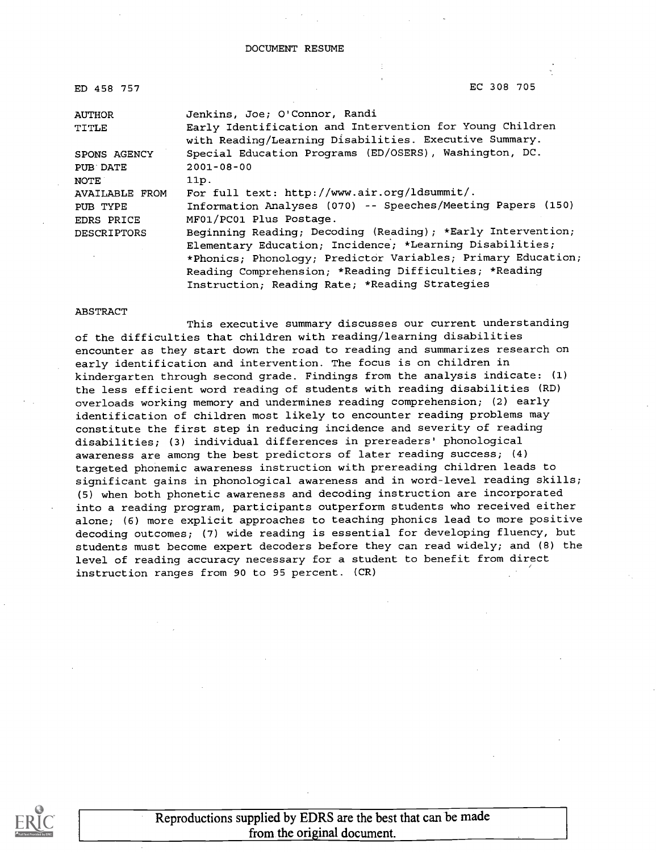| ED 458 757     | EC 308 705                                                                                                         |
|----------------|--------------------------------------------------------------------------------------------------------------------|
| <b>AUTHOR</b>  | Jenkins, Joe; O'Connor, Randi                                                                                      |
| TITLE          | Early Identification and Intervention for Young Children<br>with Reading/Learning Disabilities. Executive Summary. |
| SPONS AGENCY   | Special Education Programs (ED/OSERS), Washington, DC.                                                             |
| PUB DATE       | $2001 - 08 - 00$                                                                                                   |
| <b>NOTE</b>    | 11p.                                                                                                               |
| AVAILABLE FROM | For full text: http://www.air.org/ldsummit/.                                                                       |
| PUB TYPE       | Information Analyses (070) -- Speeches/Meeting Papers (150)                                                        |
| EDRS PRICE     | MF01/PC01 Plus Postage.                                                                                            |
| DESCRIPTORS    | Beginning Reading; Decoding (Reading); *Early Intervention;                                                        |
|                | Elementary Education; Incidence; *Learning Disabilities;                                                           |
|                | *Phonics; Phonology; Predictor Variables; Primary Education;                                                       |
|                | Reading Comprehension; *Reading Difficulties; *Reading                                                             |
|                | Instruction; Reading Rate; *Reading Strategies                                                                     |

#### ABSTRACT

This executive summary discusses our current understanding of the difficulties that children with reading/learning disabilities encounter as they start down the road to reading and summarizes research on early identification and intervention. The focus is on children in kindergarten through second grade. Findings from the analysis indicate: (1) the less efficient word reading of students with reading disabilities (RD) overloads working memory and undermines reading comprehension; (2) early identification of children most likely to encounter reading problems may constitute the first step in reducing incidence and severity of reading disabilities; (3) individual differences in prereaders' phonological awareness are among the best predictors of later reading success; (4) targeted phonemic awareness instruction with prereading children leads to significant gains in phonological awareness and in word-level reading skills; (5) when both phonetic awareness and decoding instruction are incorporated into a reading program, participants outperform students who received either alone; (6) more explicit approaches to teaching phonics lead to more positive decoding outcomes; (7) wide reading is essential for developing fluency, but students must become expert decoders before they can read widely; and (8) the level of reading accuracy necessary for a student to benefit from direct instruction ranges from 90 to 95 percent. (CR)



Reproductions supplied by EDRS are the best that can be made from the original document.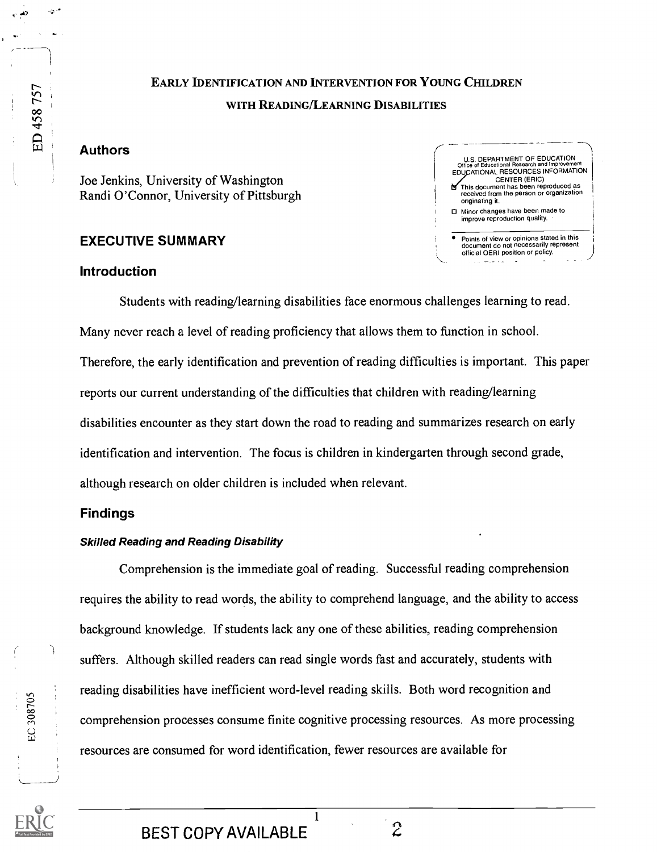### EARLY IDENTIFICATION AND INTERVENTION FOR YOUNG CHILDREN WITH READING/LEARNING DISABILITIES

#### Authors

-

ED 458 757

Joe Jenkins, University of Washington Randi O'Connor, University of Pittsburgh

#### EXECUTIVE SUMMARY

#### U.S. DEPARTMENT OF EDUCATION Office of Educational Research and Improvement<br>EDUCATIONAL RESOURCES INFORMATION CENTER (ERIC) This document has been reproduced as received from the person or organization originating it. 0 Minor changes have been made to improve reproduction quality. Points of view or opinions stated in this document do not necessarily represent official OERI position or policy.

#### Introduction

Students with reading/learning disabilities face enormous challenges learning to read. Many never reach a level of reading proficiency that allows them to function in school. Therefore, the early identification and prevention of reading difficulties is important. This paper reports our current understanding of the difficulties that children with reading/learning disabilities encounter as they start down the road to reading and summarizes research on early identification and intervention. The focus is children in kindergarten through second grade, although research on older children is included when relevant.

#### Findings

#### Skilled Reading and Reading Disability

Comprehension is the immediate goal of reading. Successful reading comprehension requires the ability to read words, the ability to comprehend language, and the ability to access background knowledge. If students lack any one of these abilities, reading comprehension suffers. Although skilled readers can read single words fast and accurately, students with reading disabilities have inefficient word-level reading skills. Both word recognition and comprehension processes consume finite cognitive processing resources. As more processing resources are consumed for word identification, fewer resources are available for

1



EC 308705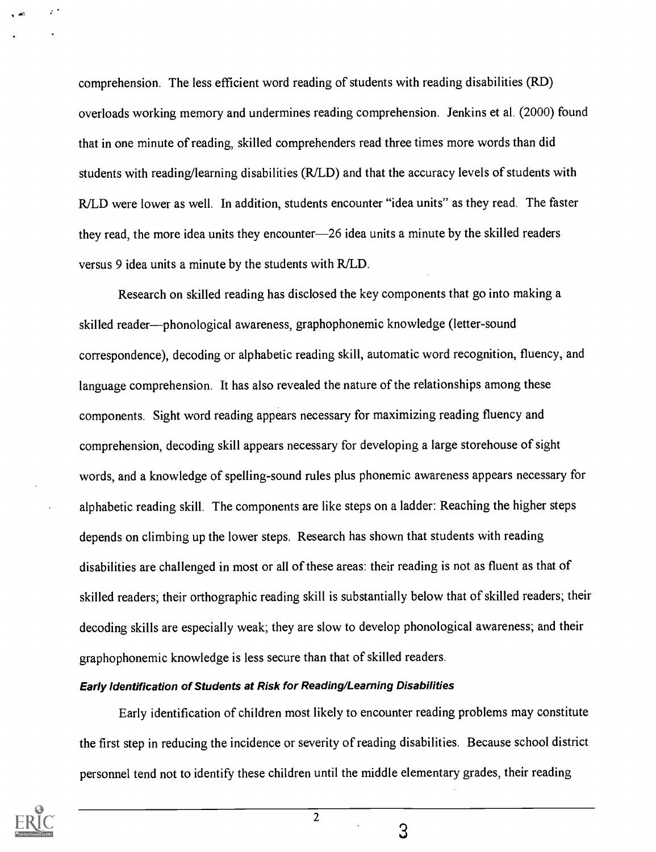comprehension. The less efficient word reading of students with reading disabilities (RD) overloads working memory and undermines reading comprehension. Jenkins et al. (2000) found that in one minute of reading, skilled comprehenders read three times more words than did students with reading/learning disabilities (R/LD) and that the accuracy levels of students with R/LD were lower as well. In addition, students encounter "idea units" as they read. The faster they read, the more idea units they encounter-26 idea units a minute by the skilled readers versus 9 idea units a minute by the students with R/LD.

Research on skilled reading has disclosed the key components that go into making a skilled reader—phonological awareness, graphophonemic knowledge (letter-sound correspondence), decoding or alphabetic reading skill, automatic word recognition, fluency, and language comprehension. It has also revealed the nature of the relationships among these components. Sight word reading appears necessary for maximizing reading fluency and comprehension, decoding skill appears necessary for developing a large storehouse of sight words, and a knowledge of spelling-sound rules plus phonemic awareness appears necessary for alphabetic reading skill. The components are like steps on a ladder: Reaching the higher steps depends on climbing up the lower steps. Research has shown that students with reading disabilities are challenged in most or all of these areas: their reading is not as fluent as that of skilled readers; their orthographic reading skill is substantially below that of skilled readers; their decoding skills are especially weak; they are slow to develop phonological awareness; and their graphophonemic knowledge is less secure than that of skilled readers.

#### Early Identification of Students at Risk for Reading/Learning Disabilities

Early identification of children most likely to encounter reading problems may constitute the first step in reducing the incidence or severity of reading disabilities. Because school district personnel tend not to identify these children until the middle elementary grades, their reading



, الص<sub>ا</sub>

2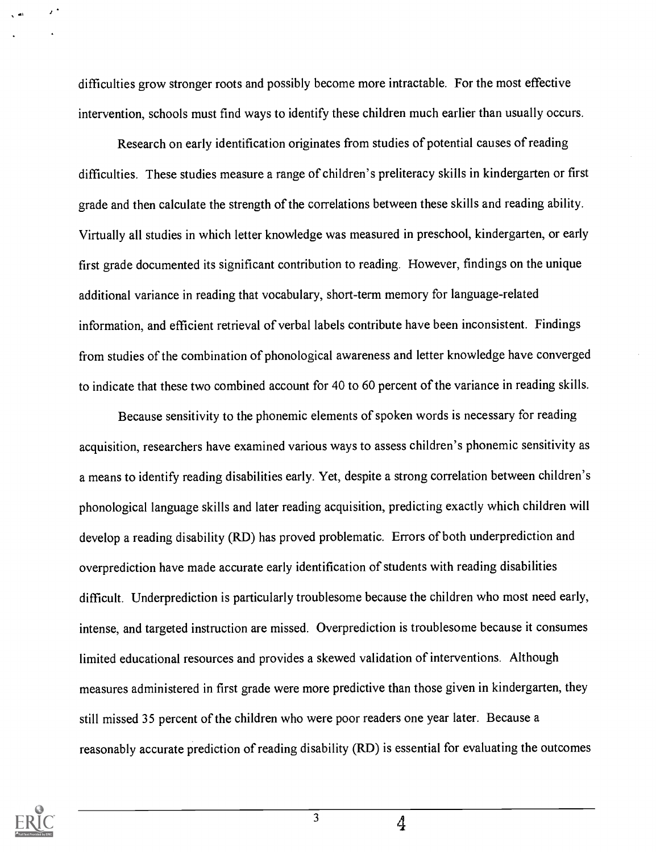difficulties grow stronger roots and possibly become more intractable. For the most effective intervention, schools must find ways to identify these children much earlier than usually occurs.

Research on early identification originates from studies of potential causes of reading difficulties. These studies measure a range of children's preliteracy skills in kindergarten or first grade and then calculate the strength of the correlations between these skills and reading ability. Virtually all studies in which letter knowledge was measured in preschool, kindergarten, or early first grade documented its significant contribution to reading. However, findings on the unique additional variance in reading that vocabulary, short-term memory for language-related information, and efficient retrieval of verbal labels contribute have been inconsistent. Findings from studies of the combination of phonological awareness and letter knowledge have converged to indicate that these two combined account for 40 to 60 percent of the variance in reading skills.

Because sensitivity to the phonemic elements of spoken words is necessary for reading acquisition, researchers have examined various ways to assess children's phonemic sensitivity as a means to identify reading disabilities early. Yet, despite a strong correlation between children's phonological language skills and later reading acquisition, predicting exactly which children will develop a reading disability (RD) has proved problematic. Errors of both underprediction and overprediction have made accurate early identification of students with reading disabilities difficult. Underprediction is particularly troublesome because the children who most need early, intense, and targeted instruction are missed. Overprediction is troublesome because it consumes limited educational resources and provides a skewed validation of interventions. Although measures administered in first grade were more predictive than those given in kindergarten, they still missed 35 percent of the children who were poor readers one year later. Because a reasonably accurate prediction of reading disability (RD) is essential for evaluating the outcomes



3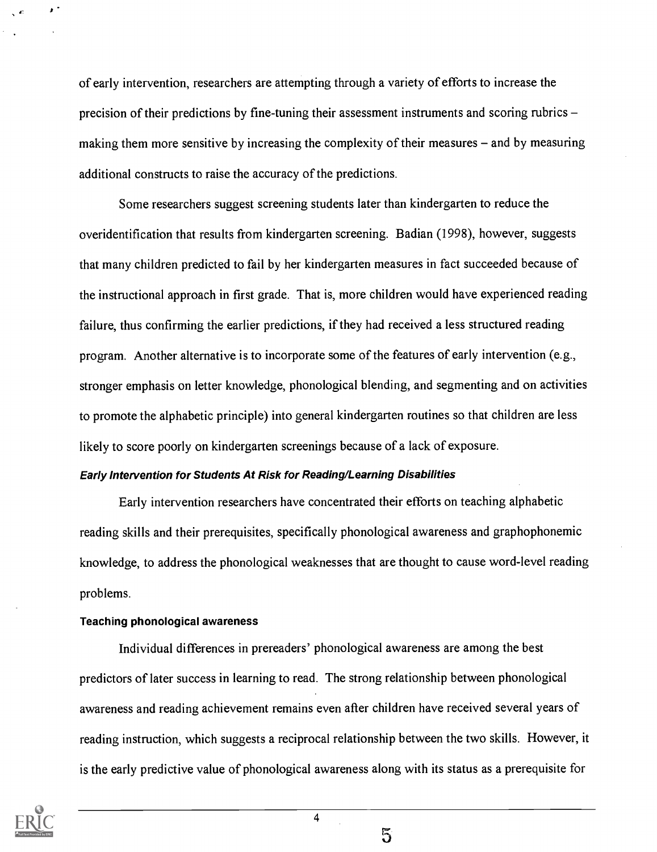of early intervention, researchers are attempting through a variety of efforts to increase the precision of their predictions by fine-tuning their assessment instruments and scoring rubrics making them more sensitive by increasing the complexity of their measures  $-$  and by measuring additional constructs to raise the accuracy of the predictions.

Some researchers suggest screening students later than kindergarten to reduce the overidentification that results from kindergarten screening. Badian (1998), however, suggests that many children predicted to fail by her kindergarten measures in fact succeeded because of the instructional approach in first grade. That is, more children would have experienced reading failure, thus confirming the earlier predictions, if they had received a less structured reading program. Another alternative is to incorporate some of the features of early intervention (e.g., stronger emphasis on letter knowledge, phonological blending, and segmenting and on activities to promote the alphabetic principle) into general kindergarten routines so that children are less likely to score poorly on kindergarten screenings because of a lack of exposure.

#### Early Intervention for Students At Risk for Reading/Learning Disabilities

Early intervention researchers have concentrated their efforts on teaching alphabetic reading skills and their prerequisites, specifically phonological awareness and graphophonemic knowledge, to address the phonological weaknesses that are thought to cause word-level reading problems.

#### Teaching phonological awareness

Individual differences in prereaders' phonological awareness are among the best predictors of later success in learning to read. The strong relationship between phonological awareness and reading achievement remains even after children have received several years of reading instruction, which suggests a reciprocal relationship between the two skills. However, it is the early predictive value of phonological awareness along with its status as a prerequisite for

4



 $5\overline{0}$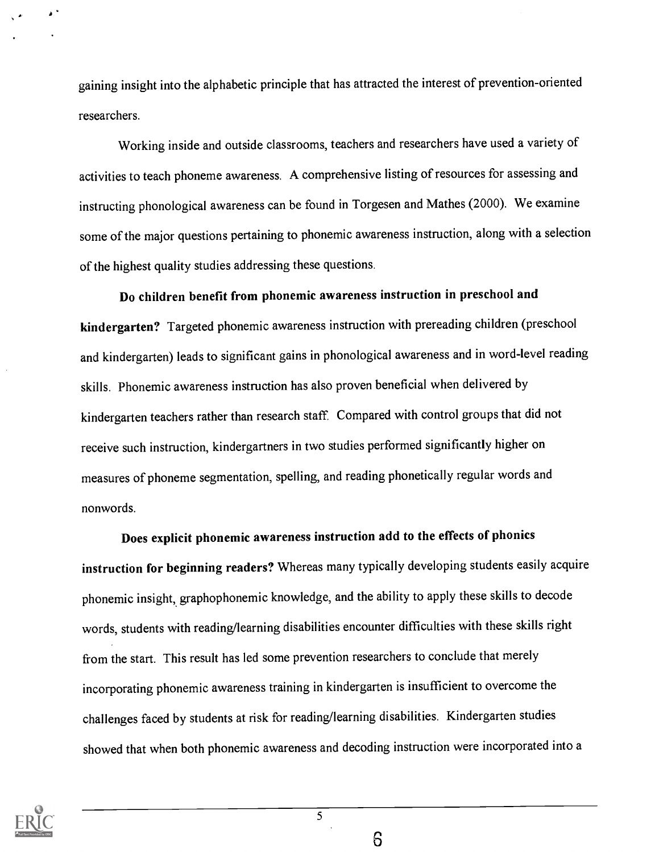gaining insight into the alphabetic principle that has attracted the interest of prevention-oriented researchers.

Working inside and outside classrooms, teachers and researchers have used a variety of activities to teach phoneme awareness. A comprehensive listing of resources for assessing and instructing phonological awareness can be found in Torgesen and Mathes (2000). We examine some of the major questions pertaining to phonemic awareness instruction, along with a selection of the highest quality studies addressing these questions.

Do children benefit from phonemic awareness instruction in preschool and kindergarten? Targeted phonemic awareness instruction with prereading children (preschool and kindergarten) leads to significant gains in phonological awareness and in word-level reading skills. Phonemic awareness instruction has also proven beneficial when delivered by kindergarten teachers rather than research staff. Compared with control groups that did not receive such instruction, kindergartners in two studies performed significantly higher on measures of phoneme segmentation, spelling, and reading phonetically regular words and nonwords.

Does explicit phonemic awareness instruction add to the effects of phonics instruction for beginning readers? Whereas many typically developing students easily acquire phonemic insight, graphophonemic knowledge, and the ability to apply these skills to decode words, students with reading/learning disabilities encounter difficulties with these skills right from the start. This result has led some prevention researchers to conclude that merely incorporating phonemic awareness training in kindergarten is insufficient to overcome the challenges faced by students at risk for reading/learning disabilities. Kindergarten studies showed that when both phonemic awareness and decoding instruction were incorporated into a



6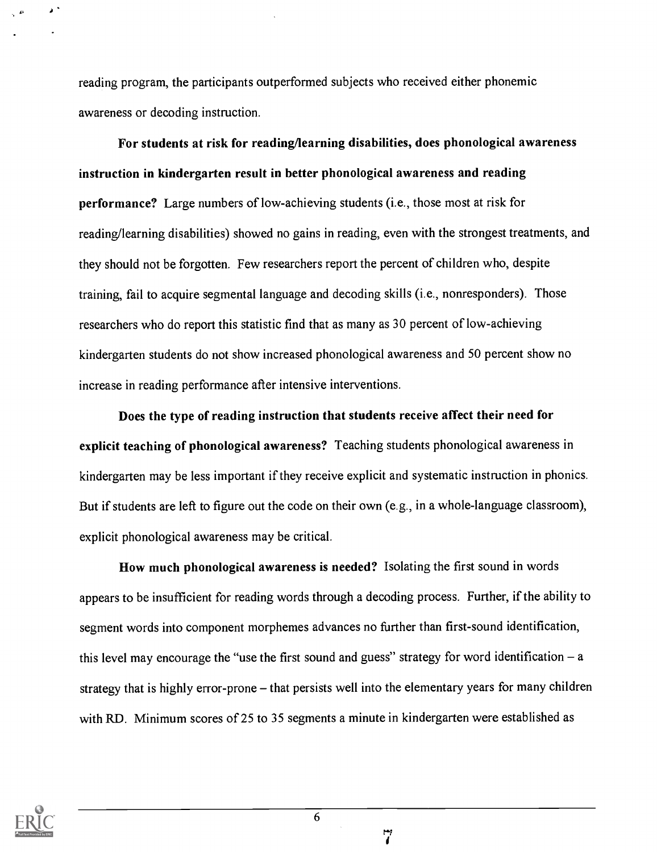reading program, the participants outperformed subjects who received either phonemic awareness or decoding instruction.

For students at risk for reading/learning disabilities, does phonological awareness instruction in kindergarten result in better phonological awareness and reading performance? Large numbers of low-achieving students (i.e., those most at risk for reading/learning disabilities) showed no gains in reading, even with the strongest treatments, and they should not be forgotten. Few researchers report the percent of children who, despite training, fail to acquire segmental language and decoding skills (i.e., nonresponders). Those researchers who do report this statistic find that as many as 30 percent of low-achieving kindergarten students do not show increased phonological awareness and 50 percent show no increase in reading performance after intensive interventions.

Does the type of reading instruction that students receive affect their need for explicit teaching of phonological awareness? Teaching students phonological awareness in kindergarten may be less important if they receive explicit and systematic instruction in phonics. But if students are left to figure out the code on their own (e.g., in a whole-language classroom), explicit phonological awareness may be critical.

How much phonological awareness is needed? Isolating the first sound in words appears to be insufficient for reading words through a decoding process. Further, if the ability to segment words into component morphemes advances no further than first-sound identification, this level may encourage the "use the first sound and guess" strategy for word identification  $-$  a strategy that is highly error-prone - that persists well into the elementary years for many children with RD. Minimum scores of 25 to 35 segments a minute in kindergarten were established as



 $\mathbf{z}$ 

6

مبر<br>أم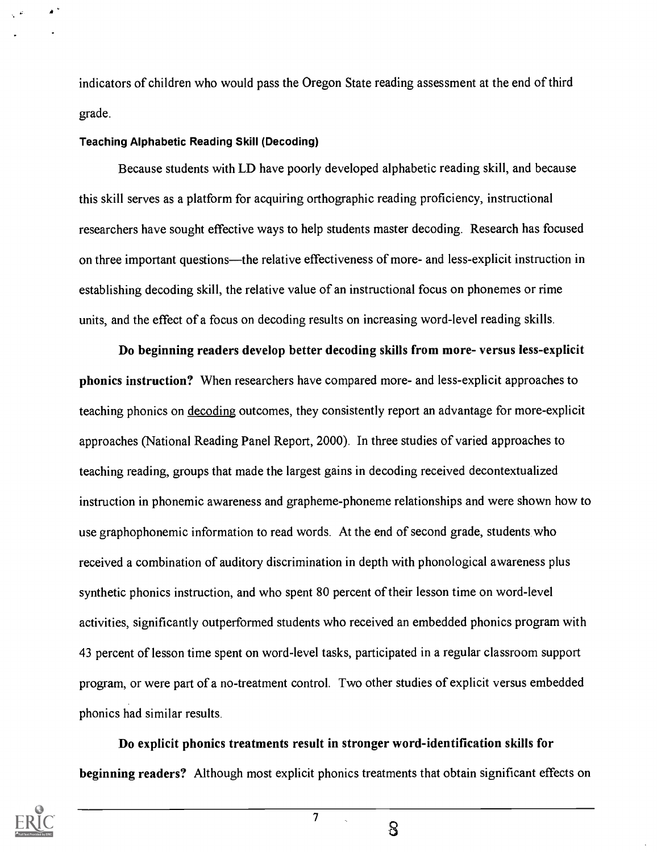indicators of children who would pass the Oregon State reading assessment at the end of third grade.

#### Teaching Alphabetic Reading Skill (Decoding)

Because students with LD have poorly developed alphabetic reading skill, and because this skill serves as a platform for acquiring orthographic reading proficiency, instructional researchers have sought effective ways to help students master decoding. Research has focused on three important questions—the relative effectiveness of more- and less-explicit instruction in establishing decoding skill, the relative value of an instructional focus on phonemes or rime units, and the effect of a focus on decoding results on increasing word-level reading skills.

Do beginning readers develop better decoding skills from more- versus less-explicit phonics instruction? When researchers have compared more- and less-explicit approaches to teaching phonics on decoding outcomes, they consistently report an advantage for more-explicit approaches (National Reading Panel Report, 2000). In three studies of varied approaches to teaching reading, groups that made the largest gains in decoding received decontextualized instruction in phonemic awareness and grapheme-phoneme relationships and were shown how to use graphophonemic information to read words. At the end of second grade, students who received a combination of auditory discrimination in depth with phonological awareness plus synthetic phonics instruction, and who spent 80 percent of their lesson time on word-level activities, significantly outperformed students who received an embedded phonics program with 43 percent of lesson time spent on word-level tasks, participated in a regular classroom support program, or were part of a no-treatment control. Two other studies of explicit versus embedded phonics had similar results.

Do explicit phonics treatments result in stronger word-identification skills for beginning readers? Although most explicit phonics treatments that obtain significant effects on



 $\mathbf S$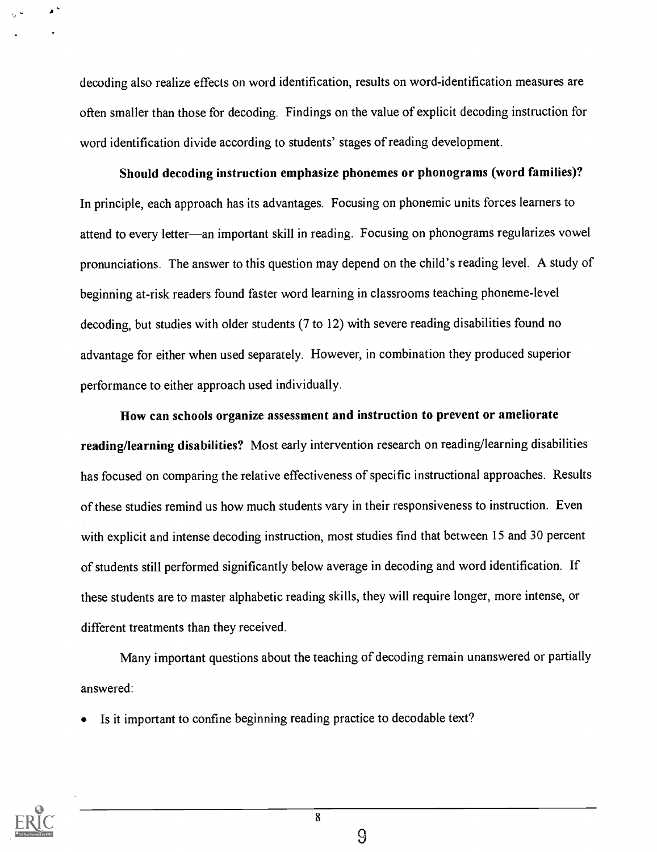decoding also realize effects on word identification, results on word-identification measures are often smaller than those for decoding. Findings on the value of explicit decoding instruction for word identification divide according to students' stages of reading development.

Should decoding instruction emphasize phonemes or phonograms (word families)? In principle, each approach has its advantages. Focusing on phonemic units forces learners to attend to every letter—an important skill in reading. Focusing on phonograms regularizes vowel pronunciations. The answer to this question may depend on the child's reading level. A study of beginning at-risk readers found faster word learning in classrooms teaching phoneme-level decoding, but studies with older students (7 to 12) with severe reading disabilities found no advantage for either when used separately. However, in combination they produced superior performance to either approach used individually.

How can schools organize assessment and instruction to prevent or ameliorate reading/learning disabilities? Most early intervention research on reading/learning disabilities has focused on comparing the relative effectiveness of specific instructional approaches. Results of these studies remind us how much students vary in their responsiveness to instruction. Even with explicit and intense decoding instruction, most studies find that between 15 and 30 percent of students still performed significantly below average in decoding and word identification. If these students are to master alphabetic reading skills, they will require longer, more intense, or different treatments than they received.

Many important questions about the teaching of decoding remain unanswered or partially answered:

Is it important to confine beginning reading practice to decodable text?



9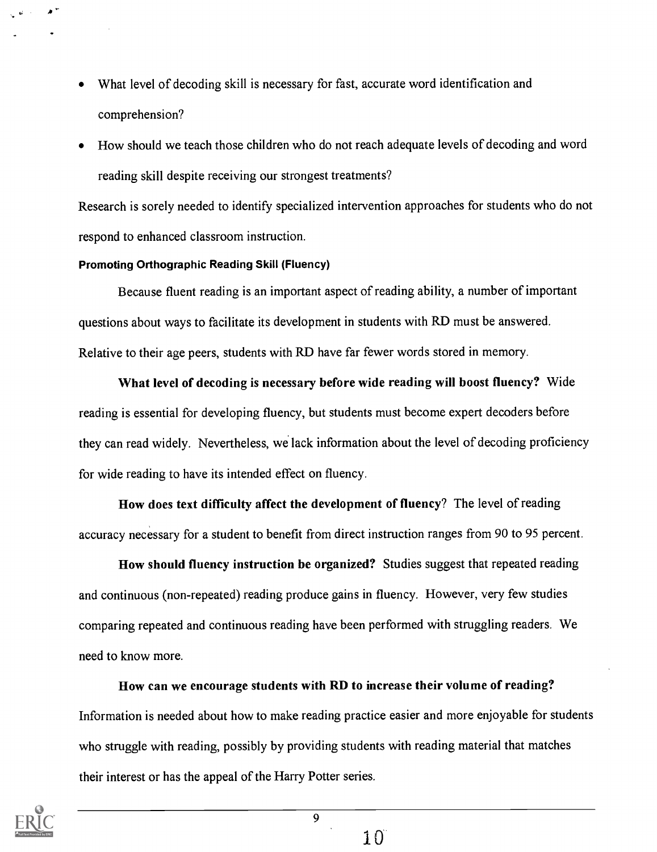- What level of decoding skill is necessary for fast, accurate word identification and comprehension?
- How should we teach those children who do not reach adequate levels of decoding and word reading skill despite receiving our strongest treatments?

Research is sorely needed to identify specialized intervention approaches for students who do not respond to enhanced classroom instruction.

#### Promoting Orthographic Reading Skill (Fluency)

 $\blacksquare$ 

Because fluent reading is an important aspect of reading ability, a number of important questions about ways to facilitate its development in students with RD must be answered. Relative to their age peers, students with RD have far fewer words stored in memory.

What level of decoding is necessary before wide reading will boost fluency? Wide reading is essential for developing fluency, but students must become expert decoders before they can read widely. Nevertheless, we' lack information about the level of decoding proficiency for wide reading to have its intended effect on fluency.

How does text difficulty affect the development of fluency? The level of reading accuracy necessary for a student to benefit from direct instruction ranges from 90 to 95 percent.

How should fluency instruction be organized? Studies suggest that repeated reading and continuous (non-repeated) reading produce gains in fluency. However, very few studies comparing repeated and continuous reading have been performed with struggling readers. We need to know more.

How can we encourage students with RD to increase their volume of reading? Information is needed about how to make reading practice easier and more enjoyable for students who struggle with reading, possibly by providing students with reading material that matches their interest or has the appeal of the Harry Potter series.

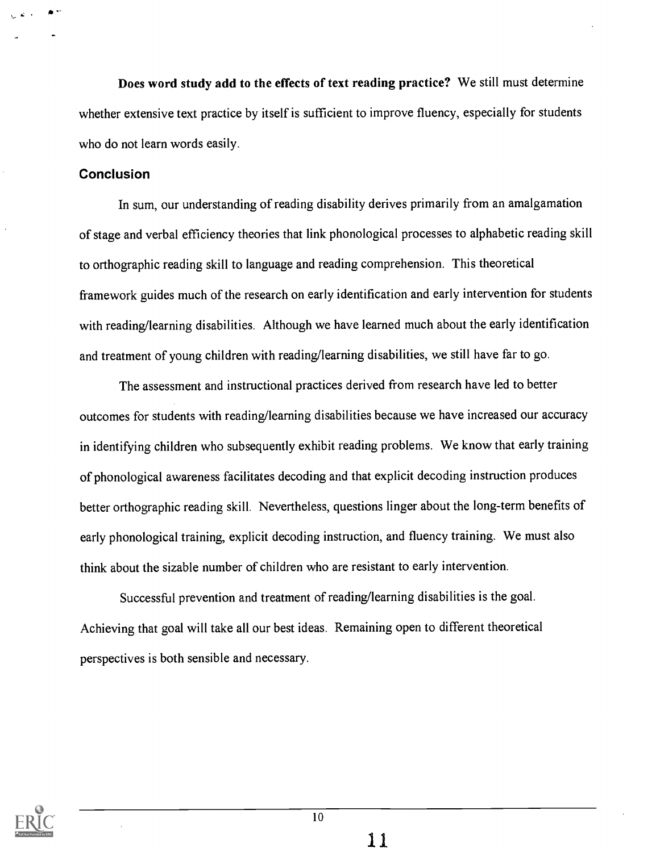Does word study add to the effects of text reading practice? We still must determine whether extensive text practice by itself is sufficient to improve fluency, especially for students who do not learn words easily.

#### Conclusion

In sum, our understanding of reading disability derives primarily from an amalgamation of stage and verbal efficiency theories that link phonological processes to alphabetic reading skill to orthographic reading skill to language and reading comprehension. This theoretical framework guides much of the research on early identification and early intervention for students with reading/learning disabilities. Although we have learned much about the early identification and treatment of young children with reading/learning disabilities, we still have far to go.

The assessment and instructional practices derived from research have led to better outcomes for students with reading/learning disabilities because we have increased our accuracy in identifying children who subsequently exhibit reading problems. We know that early training of phonological awareness facilitates decoding and that explicit decoding instruction produces better orthographic reading skill. Nevertheless, questions linger about the long-term benefits of early phonological training, explicit decoding instruction, and fluency training. We must also think about the sizable number of children who are resistant to early intervention.

Successful prevention and treatment of reading/learning disabilities is the goal. Achieving that goal will take all our best ideas. Remaining open to different theoretical perspectives is both sensible and necessary.